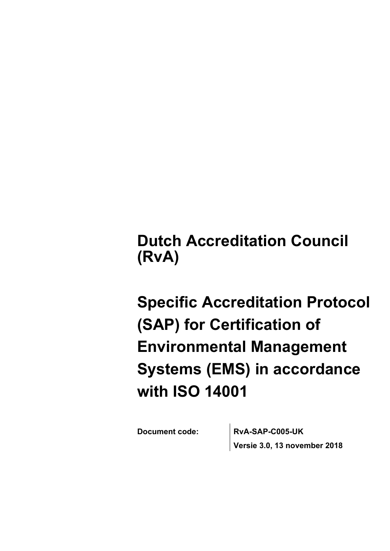**Dutch Accreditation Council (RvA)**

**Specific Accreditation Protocol (SAP) for Certification of Environmental Management Systems (EMS) in accordance with ISO 14001**

**Document code: RvA-SAP-C005-UK Versie 3.0, 13 november 2018**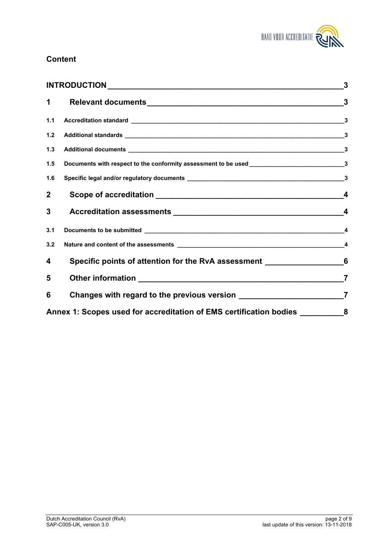

### **Content**

| $\mathbf 1$    |                                                                                                                                                                                                                                      |                         |
|----------------|--------------------------------------------------------------------------------------------------------------------------------------------------------------------------------------------------------------------------------------|-------------------------|
| 1.1            |                                                                                                                                                                                                                                      |                         |
| $1.2$          |                                                                                                                                                                                                                                      |                         |
| $1.3$          |                                                                                                                                                                                                                                      |                         |
| 1.5            | Documents with respect to the conformity assessment to be used __________________________________3                                                                                                                                   |                         |
| 1.6            |                                                                                                                                                                                                                                      |                         |
| $\overline{2}$ |                                                                                                                                                                                                                                      | $\overline{\mathbf{4}}$ |
| 3              |                                                                                                                                                                                                                                      | $\boldsymbol{4}$        |
| 3.1            | Documents to be submitted <u>expression and the set of the set of the set of the set of the set of the set of the set of the set of the set of the set of the set of the set of the set of the set of the set of the set of the </u> | $\overline{\mathbf{4}}$ |
| 3.2            |                                                                                                                                                                                                                                      | $\overline{\mathbf{4}}$ |
| 4              | Specific points of attention for the RvA assessment __________________________6                                                                                                                                                      |                         |
| 5              |                                                                                                                                                                                                                                      | $\overline{7}$          |
| 6              | Changes with regard to the previous version ___________________________________7                                                                                                                                                     |                         |
|                | Annex 1: Scopes used for accreditation of EMS certification bodies                                                                                                                                                                   | 8                       |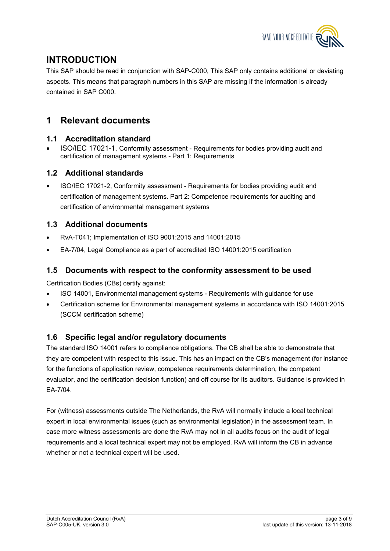

## <span id="page-2-0"></span>**INTRODUCTION**

This SAP should be read in conjunction with SAP-C000, This SAP only contains additional or deviating aspects. This means that paragraph numbers in this SAP are missing if the information is already contained in SAP C000.

## <span id="page-2-1"></span>**1 Relevant documents**

### <span id="page-2-2"></span>**1.1 Accreditation standard**

 ISO/IEC 17021-1, Conformity assessment - Requirements for bodies providing audit and certification of management systems - Part 1: Requirements

### <span id="page-2-3"></span>**1.2 Additional standards**

 ISO/IEC 17021-2, Conformity assessment - Requirements for bodies providing audit and certification of management systems. Part 2: Competence requirements for auditing and certification of environmental management systems

### <span id="page-2-4"></span>**1.3 Additional documents**

- RvA-T041; Implementation of ISO 9001:2015 and 14001:2015
- EA-7/04, Legal Compliance as a part of accredited ISO 14001:2015 certification

#### <span id="page-2-5"></span>**1.5 Documents with respect to the conformity assessment to be used**

Certification Bodies (CBs) certify against:

- ISO 14001, Environmental management systems Requirements with guidance for use
- Certification scheme for Environmental management systems in accordance with ISO 14001:2015 (SCCM certification scheme)

### <span id="page-2-6"></span>**1.6 Specific legal and/or regulatory documents**

The standard ISO 14001 refers to compliance obligations. The CB shall be able to demonstrate that they are competent with respect to this issue. This has an impact on the CB's management (for instance for the functions of application review, competence requirements determination, the competent evaluator, and the certification decision function) and off course for its auditors. Guidance is provided in EA-7/04.

For (witness) assessments outside The Netherlands, the RvA will normally include a local technical expert in local environmental issues (such as environmental legislation) in the assessment team. In case more witness assessments are done the RvA may not in all audits focus on the audit of legal requirements and a local technical expert may not be employed. RvA will inform the CB in advance whether or not a technical expert will be used.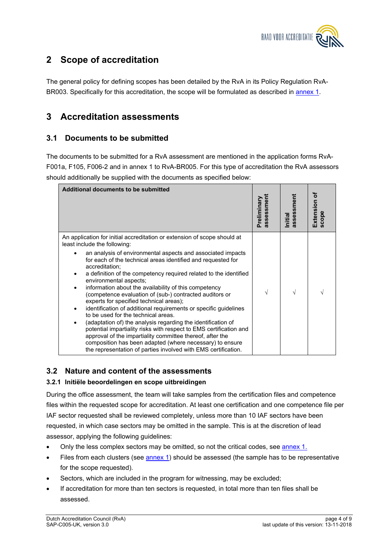

## <span id="page-3-0"></span>**2 Scope of accreditation**

The general policy for defining scopes has been detailed by the RvA in its Policy Regulation RvA-BR003. Specifically for this accreditation, the scope will be formulated as described in [annex 1](#page-7-0).

### <span id="page-3-1"></span>**3 Accreditation assessments**

#### <span id="page-3-2"></span>**3.1 Documents to be submitted**

The documents to be submitted for a RvA assessment are mentioned in the application forms RvA-F001a, F105, F006-2 and in annex 1 to RvA-BR005. For this type of accreditation the RvA assessors should additionally be supplied with the documents as specified below:

| Additional documents to be submitted                                                                                                                                                                                                                                                                                                                                                                                                                                                                                                                                                                                                                                                                                                                                                                                                                                                                                                                                                               | sessmen<br>Preliminary | assessment<br>Initial | ቴ<br>Extension<br>scope |
|----------------------------------------------------------------------------------------------------------------------------------------------------------------------------------------------------------------------------------------------------------------------------------------------------------------------------------------------------------------------------------------------------------------------------------------------------------------------------------------------------------------------------------------------------------------------------------------------------------------------------------------------------------------------------------------------------------------------------------------------------------------------------------------------------------------------------------------------------------------------------------------------------------------------------------------------------------------------------------------------------|------------------------|-----------------------|-------------------------|
| An application for initial accreditation or extension of scope should at<br>least include the following:<br>an analysis of environmental aspects and associated impacts<br>for each of the technical areas identified and requested for<br>accreditation:<br>a definition of the competency required related to the identified<br>environmental aspects;<br>information about the availability of this competency<br>$\bullet$<br>(competence evaluation of (sub-) contracted auditors or<br>experts for specified technical areas);<br>identification of additional requirements or specific guidelines<br>٠<br>to be used for the technical areas.<br>(adaptation of) the analysis regarding the identification of<br>$\bullet$<br>potential impartiality risks with respect to EMS certification and<br>approval of the impartiality committee thereof, after the<br>composition has been adapted (where necessary) to ensure<br>the representation of parties involved with EMS certification. |                        |                       |                         |

### <span id="page-3-3"></span>**3.2 Nature and content of the assessments**

#### **3.2.1 Initiële beoordelingen en scope uitbreidingen**

During the office assessment, the team will take samples from the certification files and competence files within the requested scope for accreditation. At least one certification and one competence file per IAF sector requested shall be reviewed completely, unless more than 10 IAF sectors have been requested, in which case sectors may be omitted in the sample. This is at the discretion of lead assessor, applying the following guidelines:

- Only the less complex sectors may be omitted, so not the critical codes, see [annex 1](#page-7-0).
- Files from each clusters (see [annex 1](#page-7-0)) should be assessed (the sample has to be representative for the scope requested).
- Sectors, which are included in the program for witnessing, may be excluded;
- If accreditation for more than ten sectors is requested, in total more than ten files shall be assessed.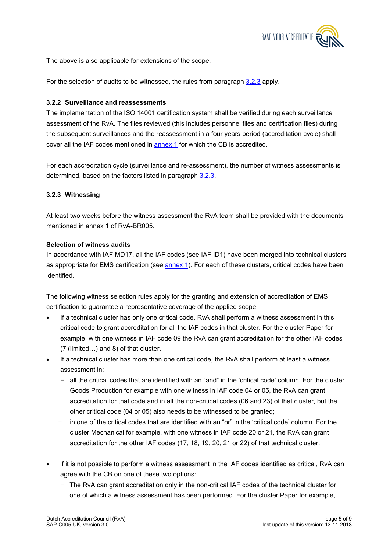

The above is also applicable for extensions of the scope.

For the selection of audits to be witnessed, the rules from paragraph [3.2.3](#page-4-0) apply.

#### **3.2.2 Surveillance and reassessments**

The implementation of the ISO 14001 certification system shall be verified during each surveillance assessment of the RvA. The files reviewed (this includes personnel files and certification files) during the subsequent surveillances and the reassessment in a four years period (accreditation cycle) shall cover all the IAF codes mentioned in [annex 1](#page-7-0) for which the CB is accredited.

For each accreditation cycle (surveillance and re-assessment), the number of witness assessments is determined, based on the factors listed in paragraph [3.2.3](#page-4-0).

#### <span id="page-4-0"></span>**3.2.3 Witnessing**

At least two weeks before the witness assessment the RvA team shall be provided with the documents mentioned in annex 1 of RvA-BR005.

#### **Selection of witness audits**

In accordance with IAF MD17, all the IAF codes (see IAF ID1) have been merged into technical clusters as appropriate for EMS certification (see **annex 1**). For each of these clusters, critical codes have been identified.

The following witness selection rules apply for the granting and extension of accreditation of EMS certification to guarantee a representative coverage of the applied scope:

- If a technical cluster has only one critical code, RvA shall perform a witness assessment in this critical code to grant accreditation for all the IAF codes in that cluster. For the cluster Paper for example, with one witness in IAF code 09 the RvA can grant accreditation for the other IAF codes (7 (limited…) and 8) of that cluster.
- If a technical cluster has more than one critical code, the RvA shall perform at least a witness assessment in:
	- − all the critical codes that are identified with an "and" in the 'critical code' column. For the cluster Goods Production for example with one witness in IAF code 04 or 05, the RvA can grant accreditation for that code and in all the non-critical codes (06 and 23) of that cluster, but the other critical code (04 or 05) also needs to be witnessed to be granted;
	- − in one of the critical codes that are identified with an "or" in the 'critical code' column. For the cluster Mechanical for example, with one witness in IAF code 20 or 21, the RvA can grant accreditation for the other IAF codes (17, 18, 19, 20, 21 or 22) of that technical cluster.
- if it is not possible to perform a witness assessment in the IAF codes identified as critical, RvA can agree with the CB on one of these two options:
	- − The RvA can grant accreditation only in the non-critical IAF codes of the technical cluster for one of which a witness assessment has been performed. For the cluster Paper for example,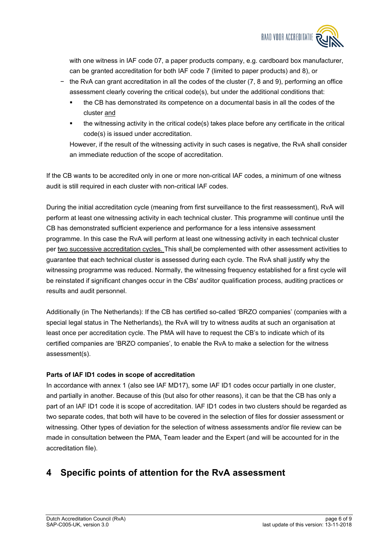

with one witness in IAF code 07, a paper products company, e.g. cardboard box manufacturer, can be granted accreditation for both IAF code 7 (limited to paper products) and 8), or

- − the RvA can grant accreditation in all the codes of the cluster (7, 8 and 9), performing an office assessment clearly covering the critical code(s), but under the additional conditions that:
	- the CB has demonstrated its competence on a documental basis in all the codes of the cluster and
	- the witnessing activity in the critical code(s) takes place before any certificate in the critical code(s) is issued under accreditation.

However, if the result of the witnessing activity in such cases is negative, the RvA shall consider an immediate reduction of the scope of accreditation.

If the CB wants to be accredited only in one or more non-critical IAF codes, a minimum of one witness audit is still required in each cluster with non-critical IAF codes.

During the initial accreditation cycle (meaning from first surveillance to the first reassessment), RvA will perform at least one witnessing activity in each technical cluster. This programme will continue until the CB has demonstrated sufficient experience and performance for a less intensive assessment programme. In this case the RvA will perform at least one witnessing activity in each technical cluster per two successive accreditation cycles. This shall be complemented with other assessment activities to guarantee that each technical cluster is assessed during each cycle. The RvA shall justify why the witnessing programme was reduced. Normally, the witnessing frequency established for a first cycle will be reinstated if significant changes occur in the CBs' auditor qualification process, auditing practices or results and audit personnel.

Additionally (in The Netherlands): If the CB has certified so-called 'BRZO companies' (companies with a special legal status in The Netherlands), the RvA will try to witness audits at such an organisation at least once per accreditation cycle. The PMA will have to request the CB's to indicate which of its certified companies are 'BRZO companies', to enable the RvA to make a selection for the witness assessment(s).

#### **Parts of IAF ID1 codes in scope of accreditation**

In accordance with annex 1 (also see IAF MD17), some IAF ID1 codes occur partially in one cluster, and partially in another. Because of this (but also for other reasons), it can be that the CB has only a part of an IAF ID1 code it is scope of accreditation. IAF ID1 codes in two clusters should be regarded as two separate codes, that both will have to be covered in the selection of files for dossier assessment or witnessing. Other types of deviation for the selection of witness assessments and/or file review can be made in consultation between the PMA, Team leader and the Expert (and will be accounted for in the accreditation file).

## <span id="page-5-0"></span>**4 Specific points of attention for the RvA assessment**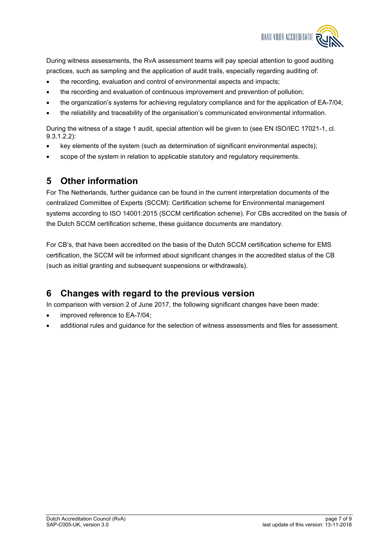

During witness assessments, the RvA assessment teams will pay special attention to good auditing practices, such as sampling and the application of audit trails, especially regarding auditing of:

- the recording, evaluation and control of environmental aspects and impacts;
- the recording and evaluation of continuous improvement and prevention of pollution;
- the organization's systems for achieving regulatory compliance and for the application of EA-7/04;
- the reliability and traceability of the organisation's communicated environmental information.

During the witness of a stage 1 audit, special attention will be given to (see EN ISO/IEC 17021-1, cl. 9.3.1.2.2):

- key elements of the system (such as determination of significant environmental aspects);
- scope of the system in relation to applicable statutory and regulatory requirements.

### <span id="page-6-0"></span>**5 Other information**

For The Netherlands, further guidance can be found in the current interpretation documents of the centralized Committee of Experts (SCCM): Certification scheme for Environmental management systems according to ISO 14001:2015 (SCCM certification scheme). For CBs accredited on the basis of the Dutch SCCM certification scheme, these guidance documents are mandatory.

For CB's, that have been accredited on the basis of the Dutch SCCM certification scheme for EMS certification, the SCCM will be informed about significant changes in the accredited status of the CB (such as initial granting and subsequent suspensions or withdrawals).

## <span id="page-6-1"></span>**6 Changes with regard to the previous version**

In comparison with version 2 of June 2017, the following significant changes have been made:

- improved reference to EA-7/04;
- additional rules and guidance for the selection of witness assessments and files for assessment.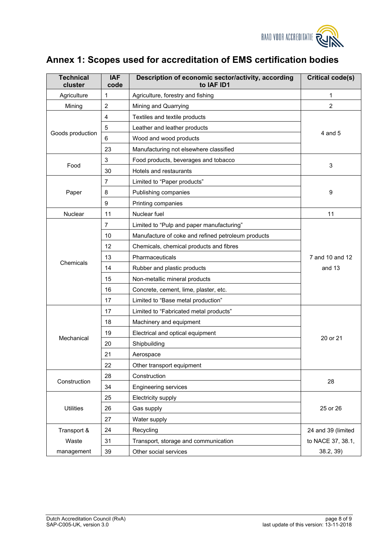

# <span id="page-7-0"></span>**Annex 1: Scopes used for accreditation of EMS certification bodies**

| <b>Technical</b><br>cluster | <b>IAF</b><br>code | Description of economic sector/activity, according<br>to IAF ID1 | <b>Critical code(s)</b> |
|-----------------------------|--------------------|------------------------------------------------------------------|-------------------------|
| Agriculture                 | 1                  | Agriculture, forestry and fishing                                | 1                       |
| Mining                      | $\overline{c}$     | Mining and Quarrying                                             | $\overline{c}$          |
|                             | 4                  | Textiles and textile products                                    |                         |
|                             | 5                  | Leather and leather products                                     |                         |
| Goods production            | 6                  | Wood and wood products                                           | 4 and 5                 |
|                             | 23                 | Manufacturing not elsewhere classified                           |                         |
|                             | 3                  | Food products, beverages and tobacco                             |                         |
| Food                        | 30                 | Hotels and restaurants                                           | 3                       |
|                             | $\overline{7}$     | Limited to "Paper products"                                      |                         |
| Paper                       | 8                  | Publishing companies                                             | 9                       |
|                             | 9                  | Printing companies                                               |                         |
| <b>Nuclear</b>              | 11                 | Nuclear fuel                                                     | 11                      |
|                             | 7                  | Limited to "Pulp and paper manufacturing"                        |                         |
|                             | 10                 | Manufacture of coke and refined petroleum products               |                         |
|                             | 12                 | Chemicals, chemical products and fibres                          |                         |
|                             | 13                 | Pharmaceuticals                                                  | 7 and 10 and 12         |
| Chemicals                   | 14                 | Rubber and plastic products                                      | and 13                  |
|                             | 15                 | Non-metallic mineral products                                    |                         |
|                             | 16                 | Concrete, cement, lime, plaster, etc.                            |                         |
|                             | 17                 | Limited to "Base metal production"                               |                         |
|                             | 17                 | Limited to "Fabricated metal products"                           |                         |
|                             | 18                 | Machinery and equipment                                          |                         |
|                             | 19                 | Electrical and optical equipment                                 |                         |
| Mechanical                  | 20                 | Shipbuilding                                                     | 20 or 21                |
|                             | 21                 | Aerospace                                                        |                         |
|                             | 22                 | Other transport equipment                                        |                         |
|                             | 28                 | Construction                                                     |                         |
| Construction                | 34                 | <b>Engineering services</b>                                      | 28                      |
|                             | 25                 | Electricity supply                                               |                         |
| <b>Utilities</b>            | 26                 | Gas supply                                                       | 25 or 26                |
|                             | 27                 | Water supply                                                     |                         |
| Transport &                 | 24                 | Recycling                                                        | 24 and 39 (limited      |
| Waste                       | 31                 | Transport, storage and communication                             | to NACE 37, 38.1,       |
| management                  | 39                 | Other social services                                            | 38.2, 39)               |